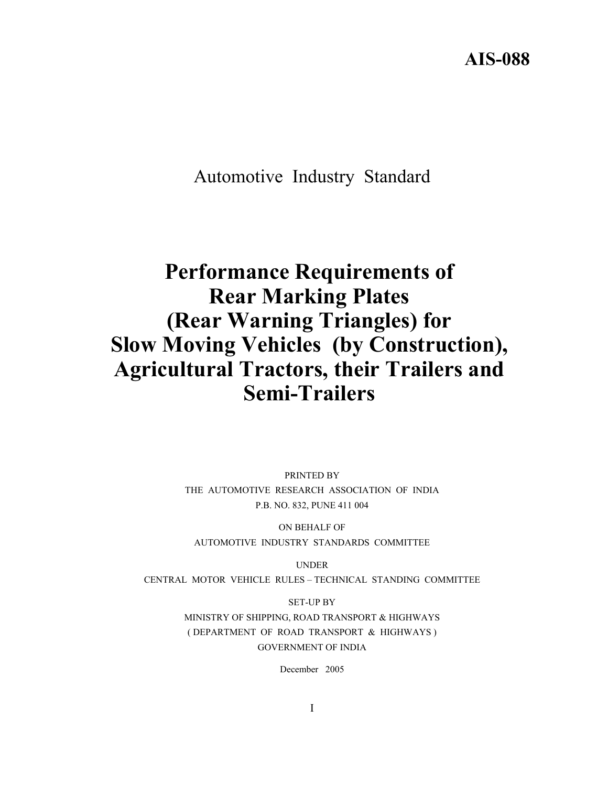**AIS-088** 

Automotive Industry Standard

# **Performance Requirements of Rear Marking Plates (Rear Warning Triangles) for Slow Moving Vehicles (by Construction), Agricultural Tractors, their Trailers and Semi-Trailers**

PRINTED BY THE AUTOMOTIVE RESEARCH ASSOCIATION OF INDIA P.B. NO. 832, PUNE 411 004

ON BEHALF OF AUTOMOTIVE INDUSTRY STANDARDS COMMITTEE

UNDER

CENTRAL MOTOR VEHICLE RULES – TECHNICAL STANDING COMMITTEE

SET-UP BY MINISTRY OF SHIPPING, ROAD TRANSPORT & HIGHWAYS ( DEPARTMENT OF ROAD TRANSPORT & HIGHWAYS ) GOVERNMENT OF INDIA

December 2005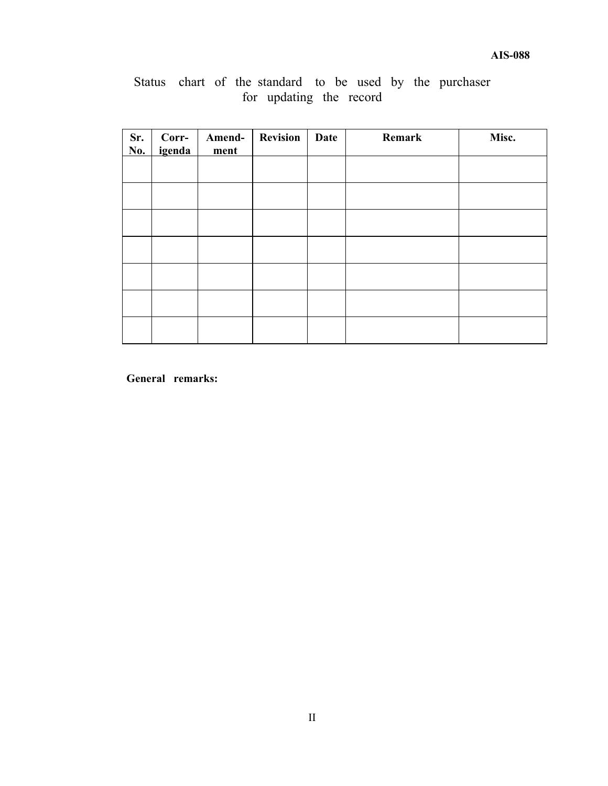|  |  |                         |  |  | Status chart of the standard to be used by the purchaser |
|--|--|-------------------------|--|--|----------------------------------------------------------|
|  |  | for updating the record |  |  |                                                          |

| Sr.<br>No. | Corr-<br>igenda | Amend-<br>ment | <b>Revision</b> | Date | Remark | Misc. |
|------------|-----------------|----------------|-----------------|------|--------|-------|
|            |                 |                |                 |      |        |       |
|            |                 |                |                 |      |        |       |
|            |                 |                |                 |      |        |       |
|            |                 |                |                 |      |        |       |
|            |                 |                |                 |      |        |       |
|            |                 |                |                 |      |        |       |
|            |                 |                |                 |      |        |       |

**General remarks:**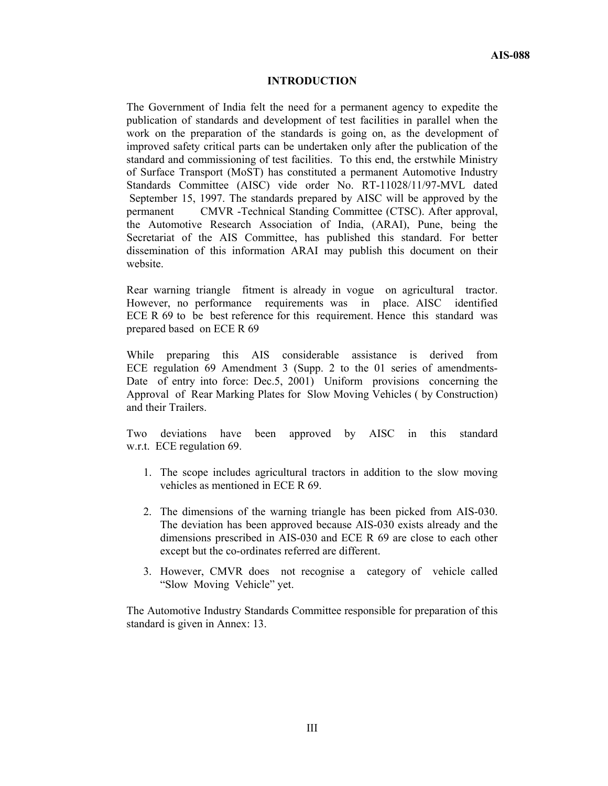#### **INTRODUCTION**

The Government of India felt the need for a permanent agency to expedite the publication of standards and development of test facilities in parallel when the work on the preparation of the standards is going on, as the development of improved safety critical parts can be undertaken only after the publication of the standard and commissioning of test facilities. To this end, the erstwhile Ministry of Surface Transport (MoST) has constituted a permanent Automotive Industry Standards Committee (AISC) vide order No. RT-11028/11/97-MVL dated September 15, 1997. The standards prepared by AISC will be approved by the permanent CMVR -Technical Standing Committee (CTSC). After approval, the Automotive Research Association of India, (ARAI), Pune, being the Secretariat of the AIS Committee, has published this standard. For better dissemination of this information ARAI may publish this document on their website.

Rear warning triangle fitment is already in vogue on agricultural tractor. However, no performance requirements was in place. AISC identified ECE R 69 to be best reference for this requirement. Hence this standard was prepared based on ECE R 69

While preparing this AIS considerable assistance is derived from ECE regulation 69 Amendment 3 (Supp. 2 to the 01 series of amendments-Date of entry into force: Dec.5, 2001) Uniform provisions concerning the Approval of Rear Marking Plates for Slow Moving Vehicles ( by Construction) and their Trailers.

Two deviations have been approved by AISC in this standard w.r.t. ECE regulation 69.

- 1. The scope includes agricultural tractors in addition to the slow moving vehicles as mentioned in ECE R 69.
- 2. The dimensions of the warning triangle has been picked from AIS-030. The deviation has been approved because AIS-030 exists already and the dimensions prescribed in AIS-030 and ECE R 69 are close to each other except but the co-ordinates referred are different.
- 3. However, CMVR does not recognise a category of vehicle called "Slow Moving Vehicle" yet.

The Automotive Industry Standards Committee responsible for preparation of this standard is given in Annex: 13.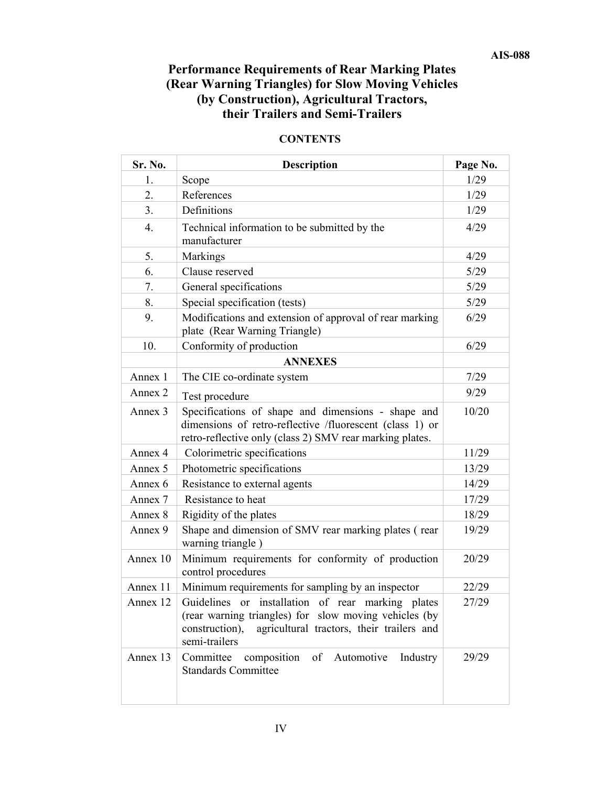# **Performance Requirements of Rear Marking Plates (Rear Warning Triangles) for Slow Moving Vehicles (by Construction), Agricultural Tractors, their Trailers and Semi-Trailers**

| Sr. No.          | <b>Description</b>                                                                                                                                                                            | Page No. |
|------------------|-----------------------------------------------------------------------------------------------------------------------------------------------------------------------------------------------|----------|
| 1.               | Scope                                                                                                                                                                                         | 1/29     |
| 2.               | References                                                                                                                                                                                    | 1/29     |
| 3.               | Definitions                                                                                                                                                                                   | 1/29     |
| $\overline{4}$ . | Technical information to be submitted by the<br>manufacturer                                                                                                                                  | 4/29     |
| 5.               | Markings                                                                                                                                                                                      | 4/29     |
| 6.               | Clause reserved                                                                                                                                                                               | 5/29     |
| 7.               | General specifications                                                                                                                                                                        | 5/29     |
| 8.               | Special specification (tests)                                                                                                                                                                 | 5/29     |
| 9.               | Modifications and extension of approval of rear marking<br>plate (Rear Warning Triangle)                                                                                                      | 6/29     |
| 10.              | Conformity of production                                                                                                                                                                      | 6/29     |
|                  | <b>ANNEXES</b>                                                                                                                                                                                |          |
| Annex 1          | The CIE co-ordinate system                                                                                                                                                                    | 7/29     |
| Annex 2          | Test procedure                                                                                                                                                                                | 9/29     |
| Annex 3          | Specifications of shape and dimensions - shape and<br>dimensions of retro-reflective /fluorescent (class 1) or<br>retro-reflective only (class 2) SMV rear marking plates.                    | 10/20    |
| Annex 4          | Colorimetric specifications                                                                                                                                                                   | 11/29    |
| Annex 5          | Photometric specifications                                                                                                                                                                    | 13/29    |
| Annex 6          | Resistance to external agents                                                                                                                                                                 | 14/29    |
| Annex 7          | Resistance to heat                                                                                                                                                                            | 17/29    |
| Annex 8          | Rigidity of the plates                                                                                                                                                                        | 18/29    |
| Annex 9          | Shape and dimension of SMV rear marking plates (rear<br>warning triangle)                                                                                                                     | 19/29    |
| Annex 10         | Minimum requirements for conformity of production<br>control procedures                                                                                                                       | 20/29    |
| Annex 11         | Minimum requirements for sampling by an inspector                                                                                                                                             | 22/29    |
| Annex 12         | installation of rear marking plates<br>Guidelines or<br>(rear warning triangles) for slow moving vehicles (by<br>agricultural tractors, their trailers and<br>construction),<br>semi-trailers | 27/29    |
| Annex 13         | Committee<br>composition<br>of Automotive<br>Industry<br><b>Standards Committee</b>                                                                                                           | 29/29    |

### **CONTENTS**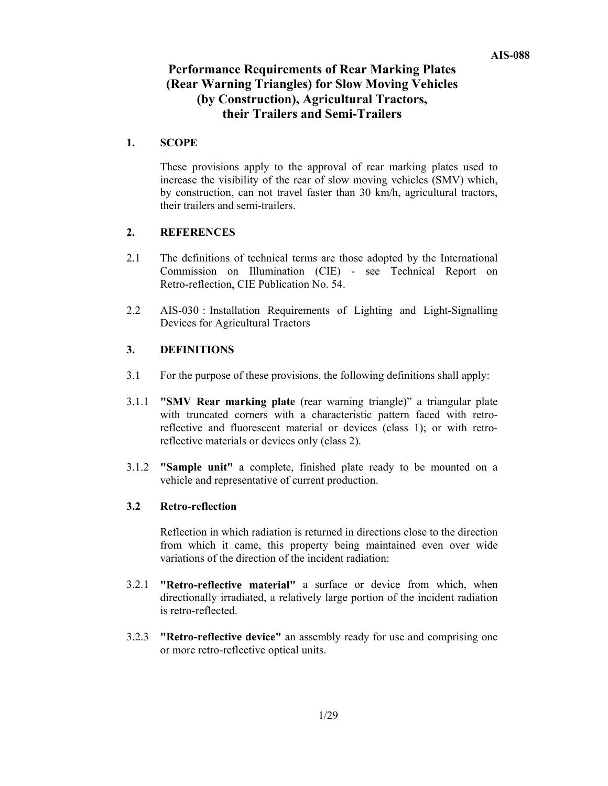# **Performance Requirements of Rear Marking Plates (Rear Warning Triangles) for Slow Moving Vehicles (by Construction), Agricultural Tractors, their Trailers and Semi-Trailers**

### **1. SCOPE**

 These provisions apply to the approval of rear marking plates used to increase the visibility of the rear of slow moving vehicles (SMV) which, by construction, can not travel faster than 30 km/h, agricultural tractors, their trailers and semi-trailers.

### **2. REFERENCES**

- 2.1 The definitions of technical terms are those adopted by the International Commission on Illumination (CIE) - see Technical Report on Retro-reflection, CIE Publication No. 54.
- 2.2 AIS-030 : Installation Requirements of Lighting and Light-Signalling Devices for Agricultural Tractors

### **3. DEFINITIONS**

- 3.1 For the purpose of these provisions, the following definitions shall apply:
- 3.1.1 **"SMV Rear marking plate** (rear warning triangle)" a triangular plate with truncated corners with a characteristic pattern faced with retroreflective and fluorescent material or devices (class 1); or with retroreflective materials or devices only (class 2).
- 3.1.2 **"Sample unit"** a complete, finished plate ready to be mounted on a vehicle and representative of current production.

### **3.2 Retro-reflection**

 Reflection in which radiation is returned in directions close to the direction from which it came, this property being maintained even over wide variations of the direction of the incident radiation:

- 3.2.1 **"Retro-reflective material"** a surface or device from which, when directionally irradiated, a relatively large portion of the incident radiation is retro-reflected.
- 3.2.3 **"Retro-reflective device"** an assembly ready for use and comprising one or more retro-reflective optical units.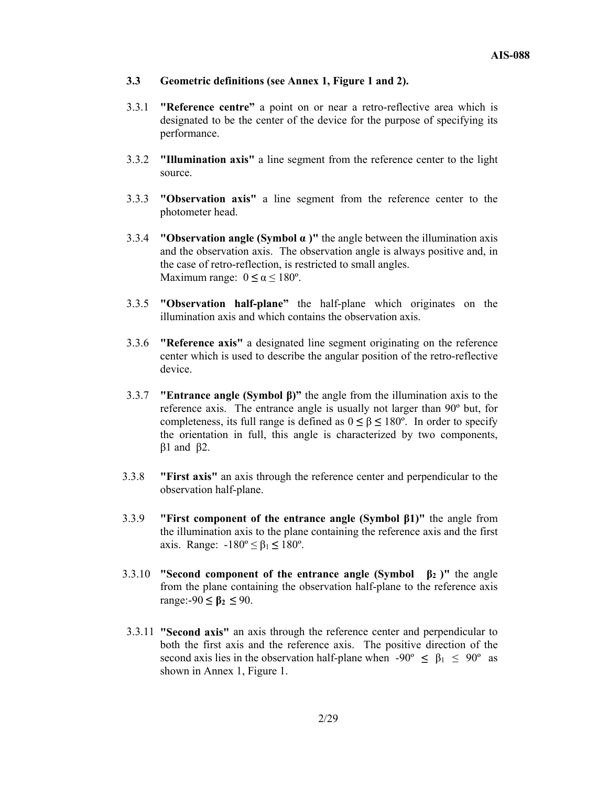- **3.3 Geometric definitions (see Annex 1, Figure 1 and 2).**
- 3.3.1 **"Reference centre"** a point on or near a retro-reflective area which is designated to be the center of the device for the purpose of specifying its performance.
- 3.3.2 **"Illumination axis"** a line segment from the reference center to the light source.
- 3.3.3 **"Observation axis"** a line segment from the reference center to the photometer head.
- 3.3.4 **"Observation angle (Symbol α )"** the angle between the illumination axis and the observation axis. The observation angle is always positive and, in the case of retro-reflection, is restricted to small angles. Maximum range:  $0 \le \alpha \le 180^{\circ}$ .
- 3.3.5 **"Observation half-plane"** the half-plane which originates on the illumination axis and which contains the observation axis.
- 3.3.6 **"Reference axis"** a designated line segment originating on the reference center which is used to describe the angular position of the retro-reflective device.
- 3.3.7 **"Entrance angle (Symbol β)"** the angle from the illumination axis to the reference axis. The entrance angle is usually not larger than 90º but, for completeness, its full range is defined as  $0 \le \beta \le 180^\circ$ . In order to specify the orientation in full, this angle is characterized by two components, β1 and β2.
- 3.3.8 **"First axis"** an axis through the reference center and perpendicular to the observation half-plane.
- 3.3.9 **"First component of the entrance angle (Symbol β1)"** the angle from the illumination axis to the plane containing the reference axis and the first axis. Range: -180º ≤ β<sup>1</sup> **≤** 180º.
- 3.3.10 **"Second component of the entrance angle (Symbol β2 )"** the angle from the plane containing the observation half-plane to the reference axis range:-90 **≤ β2 ≤** 90.
- 3.3.11 **"Second axis"** an axis through the reference center and perpendicular to both the first axis and the reference axis. The positive direction of the second axis lies in the observation half-plane when  $-90^{\circ} \leq \beta_1 \leq 90^{\circ}$  as shown in Annex 1, Figure 1.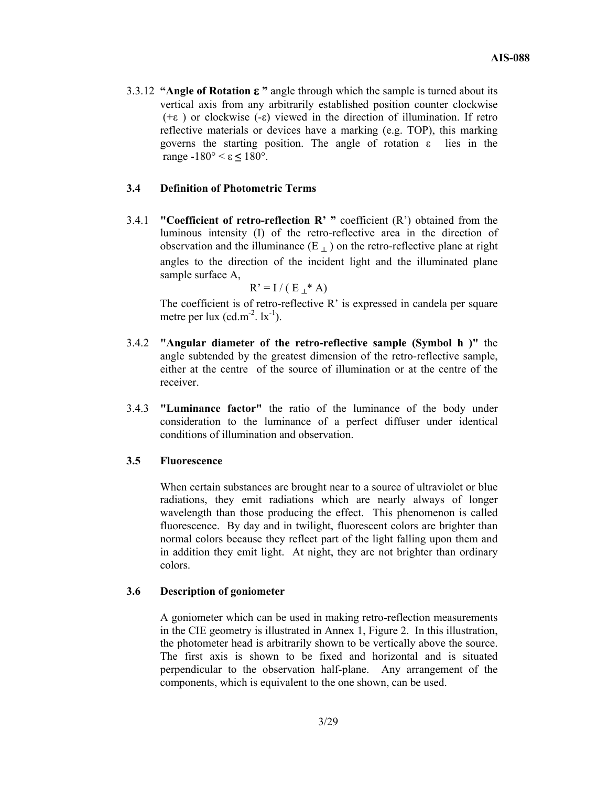3.3.12 **"Angle of Rotation ε "** angle through which the sample is turned about its vertical axis from any arbitrarily established position counter clockwise ( $+\epsilon$ ) or clockwise (- $\epsilon$ ) viewed in the direction of illumination. If retro reflective materials or devices have a marking (e.g. TOP), this marking governs the starting position. The angle of rotation  $\varepsilon$  lies in the range -180° < ε **≤** 180°.

#### **3.4 Definition of Photometric Terms**

3.4.1 **"Coefficient of retro-reflection R' "** coefficient (R') obtained from the luminous intensity (I) of the retro-reflective area in the direction of observation and the illuminance  $(E_{\perp})$  on the retro-reflective plane at right angles to the direction of the incident light and the illuminated plane sample surface A,

$$
R' = I / (E_\perp^* A)
$$

 The coefficient is of retro-reflective R' is expressed in candela per square metre per lux (cd.m<sup>-2</sup>.  $lx^{-1}$ ).

- 3.4.2 **"Angular diameter of the retro-reflective sample (Symbol h )"** the angle subtended by the greatest dimension of the retro-reflective sample, either at the centre of the source of illumination or at the centre of the receiver.
- 3.4.3 **"Luminance factor"** the ratio of the luminance of the body under consideration to the luminance of a perfect diffuser under identical conditions of illumination and observation.

#### **3.5 Fluorescence**

 When certain substances are brought near to a source of ultraviolet or blue radiations, they emit radiations which are nearly always of longer wavelength than those producing the effect. This phenomenon is called fluorescence. By day and in twilight, fluorescent colors are brighter than normal colors because they reflect part of the light falling upon them and in addition they emit light. At night, they are not brighter than ordinary colors.

#### **3.6 Description of goniometer**

 A goniometer which can be used in making retro-reflection measurements in the CIE geometry is illustrated in Annex 1, Figure 2. In this illustration, the photometer head is arbitrarily shown to be vertically above the source. The first axis is shown to be fixed and horizontal and is situated perpendicular to the observation half-plane. Any arrangement of the components, which is equivalent to the one shown, can be used.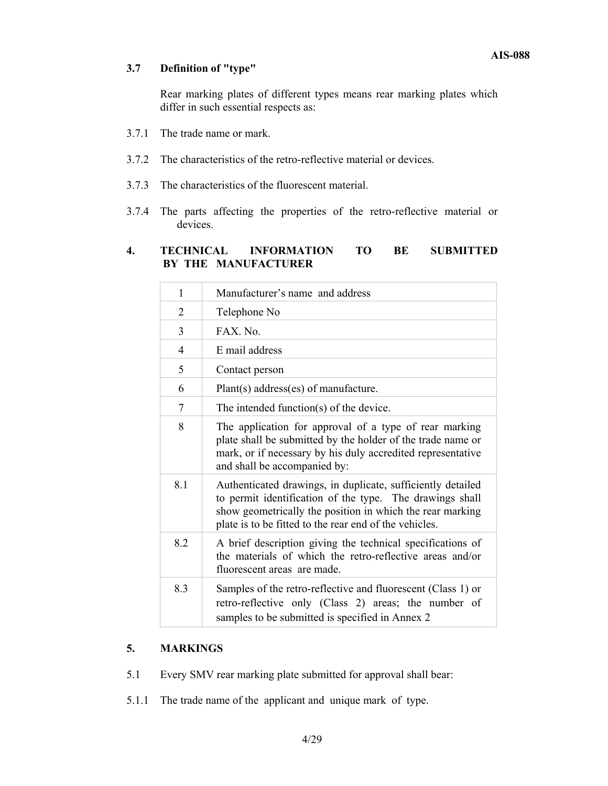### **3.7 Definition of "type"**

 Rear marking plates of different types means rear marking plates which differ in such essential respects as:

- 3.7.1 The trade name or mark.
- 3.7.2 The characteristics of the retro-reflective material or devices.
- 3.7.3 The characteristics of the fluorescent material.
- 3.7.4 The parts affecting the properties of the retro-reflective material or devices.

### **4. TECHNICAL INFORMATION TO BE SUBMITTED BY THE MANUFACTURER**

| 1   | Manufacturer's name and address                                                                                                                                                                                                                |
|-----|------------------------------------------------------------------------------------------------------------------------------------------------------------------------------------------------------------------------------------------------|
| 2   | Telephone No                                                                                                                                                                                                                                   |
| 3   | $FAX$ No                                                                                                                                                                                                                                       |
| 4   | E mail address                                                                                                                                                                                                                                 |
| 5   | Contact person                                                                                                                                                                                                                                 |
| 6   | Plant(s) address(es) of manufacture.                                                                                                                                                                                                           |
| 7   | The intended function(s) of the device.                                                                                                                                                                                                        |
| 8   | The application for approval of a type of rear marking<br>plate shall be submitted by the holder of the trade name or<br>mark, or if necessary by his duly accredited representative<br>and shall be accompanied by:                           |
| 8.1 | Authenticated drawings, in duplicate, sufficiently detailed<br>to permit identification of the type. The drawings shall<br>show geometrically the position in which the rear marking<br>plate is to be fitted to the rear end of the vehicles. |
| 8.2 | A brief description giving the technical specifications of<br>the materials of which the retro-reflective areas and/or<br>fluorescent areas are made.                                                                                          |
| 8.3 | Samples of the retro-reflective and fluorescent (Class 1) or<br>retro-reflective only (Class 2) areas; the number of<br>samples to be submitted is specified in Annex 2                                                                        |

### **5. MARKINGS**

- 5.1 Every SMV rear marking plate submitted for approval shall bear:
- 5.1.1 The trade name of the applicant and unique mark of type.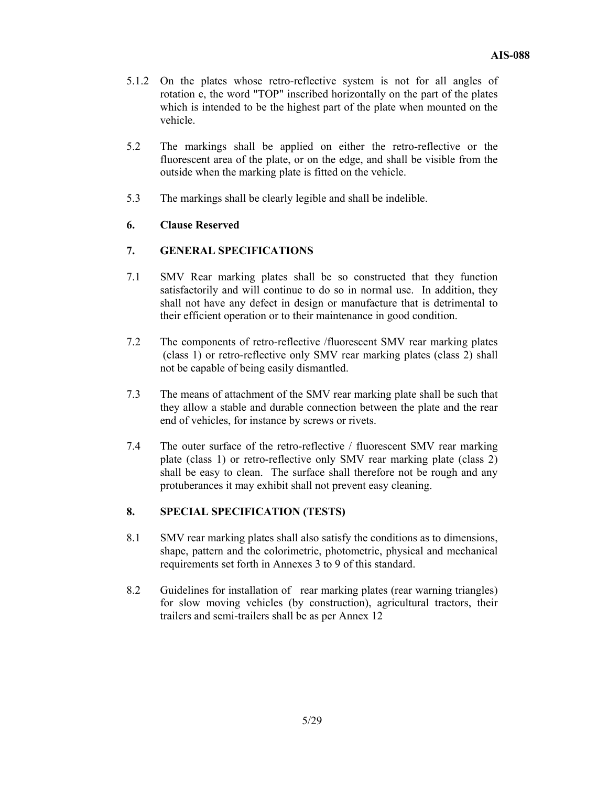- 5.1.2 On the plates whose retro-reflective system is not for all angles of rotation e, the word "TOP" inscribed horizontally on the part of the plates which is intended to be the highest part of the plate when mounted on the vehicle.
- 5.2 The markings shall be applied on either the retro-reflective or the fluorescent area of the plate, or on the edge, and shall be visible from the outside when the marking plate is fitted on the vehicle.
- 5.3 The markings shall be clearly legible and shall be indelible.

### **6. Clause Reserved**

### **7. GENERAL SPECIFICATIONS**

- 7.1 SMV Rear marking plates shall be so constructed that they function satisfactorily and will continue to do so in normal use. In addition, they shall not have any defect in design or manufacture that is detrimental to their efficient operation or to their maintenance in good condition.
- 7.2 The components of retro-reflective /fluorescent SMV rear marking plates (class 1) or retro-reflective only SMV rear marking plates (class 2) shall not be capable of being easily dismantled.
- 7.3 The means of attachment of the SMV rear marking plate shall be such that they allow a stable and durable connection between the plate and the rear end of vehicles, for instance by screws or rivets.
- 7.4 The outer surface of the retro-reflective / fluorescent SMV rear marking plate (class 1) or retro-reflective only SMV rear marking plate (class 2) shall be easy to clean. The surface shall therefore not be rough and any protuberances it may exhibit shall not prevent easy cleaning.

### **8. SPECIAL SPECIFICATION (TESTS)**

- 8.1 SMV rear marking plates shall also satisfy the conditions as to dimensions, shape, pattern and the colorimetric, photometric, physical and mechanical requirements set forth in Annexes 3 to 9 of this standard.
- 8.2 Guidelines for installation of rear marking plates (rear warning triangles) for slow moving vehicles (by construction), agricultural tractors, their trailers and semi-trailers shall be as per Annex 12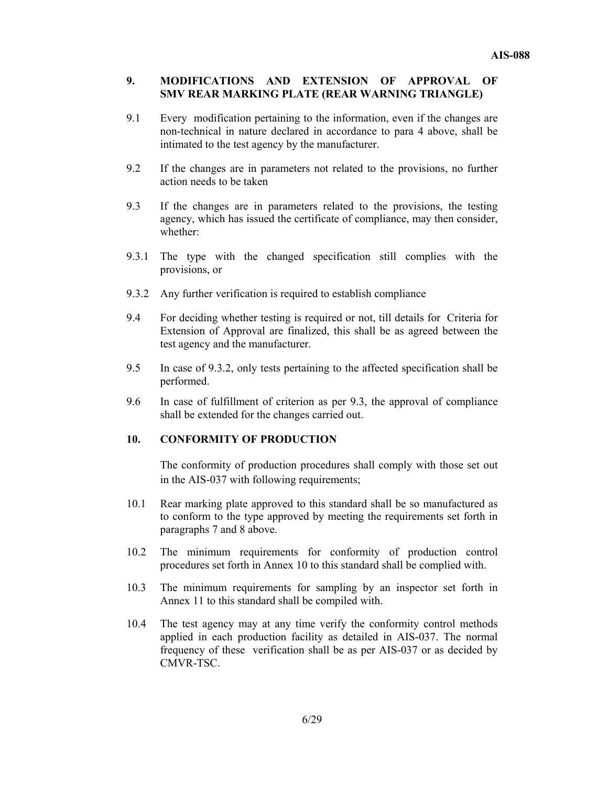### **9. MODIFICATIONS AND EXTENSION OF APPROVAL OF SMV REAR MARKING PLATE (REAR WARNING TRIANGLE)**

- 9.1 Every modification pertaining to the information, even if the changes are non-technical in nature declared in accordance to para 4 above, shall be intimated to the test agency by the manufacturer.
- 9.2 If the changes are in parameters not related to the provisions, no further action needs to be taken
- 9.3 If the changes are in parameters related to the provisions, the testing agency, which has issued the certificate of compliance, may then consider, whether:
- 9.3.1 The type with the changed specification still complies with the provisions, or
- 9.3.2 Any further verification is required to establish compliance
- 9.4 For deciding whether testing is required or not, till details for Criteria for Extension of Approval are finalized, this shall be as agreed between the test agency and the manufacturer.
- 9.5 In case of 9.3.2, only tests pertaining to the affected specification shall be performed.
- 9.6 In case of fulfillment of criterion as per 9.3, the approval of compliance shall be extended for the changes carried out.

### **10. CONFORMITY OF PRODUCTION**

The conformity of production procedures shall comply with those set out in the AIS-037 with following requirements;

- 10.1 Rear marking plate approved to this standard shall be so manufactured as to conform to the type approved by meeting the requirements set forth in paragraphs 7 and 8 above.
- 10.2 The minimum requirements for conformity of production control procedures set forth in Annex 10 to this standard shall be complied with.
- 10.3 The minimum requirements for sampling by an inspector set forth in Annex 11 to this standard shall be compiled with.
- 10.4 The test agency may at any time verify the conformity control methods applied in each production facility as detailed in AIS-037. The normal frequency of these verification shall be as per AIS-037 or as decided by CMVR-TSC.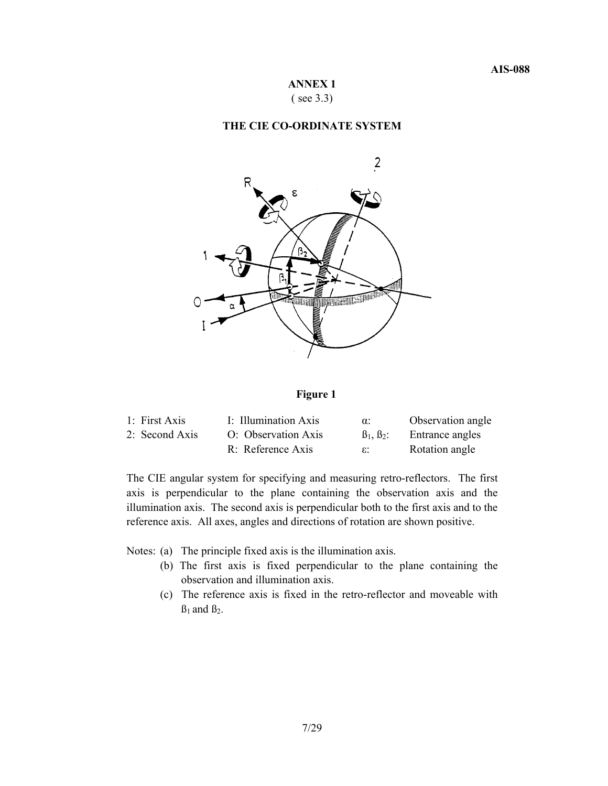### **ANNEX 1**  ( see 3.3)

#### **THE CIE CO-ORDINATE SYSTEM**



#### **Figure 1**

| 1: First Axis  | I: Illumination Axis | $\alpha$ :   | Observation angle |
|----------------|----------------------|--------------|-------------------|
| 2: Second Axis | O: Observation Axis  | $B_1, B_2$ : | Entrance angles   |
|                | R: Reference Axis    | ε.           | Rotation angle    |

The CIE angular system for specifying and measuring retro-reflectors. The first axis is perpendicular to the plane containing the observation axis and the illumination axis. The second axis is perpendicular both to the first axis and to the reference axis. All axes, angles and directions of rotation are shown positive.

Notes: (a) The principle fixed axis is the illumination axis.

- (b) The first axis is fixed perpendicular to the plane containing the observation and illumination axis.
- (c) The reference axis is fixed in the retro-reflector and moveable with  $B_1$  and  $B_2$ .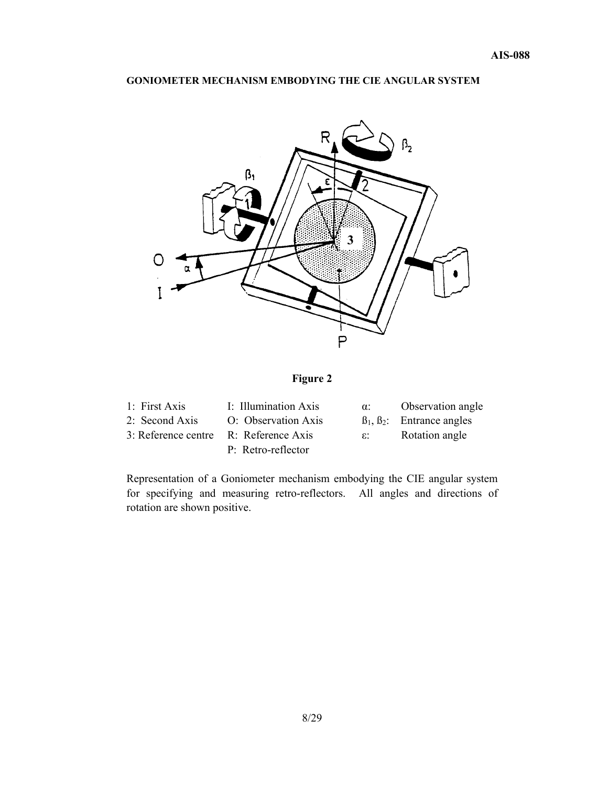### **GONIOMETER MECHANISM EMBODYING THE CIE ANGULAR SYSTEM**



# **Figure 2**

| 1: First Axis                         | I: Illumination Axis | $\alpha$ :   | Observation angle                       |
|---------------------------------------|----------------------|--------------|-----------------------------------------|
| 2: Second Axis                        | O: Observation Axis  |              | $\beta_1$ , $\beta_2$ : Entrance angles |
| 3: Reference centre R: Reference Axis |                      | $\epsilon$ : | Rotation angle                          |
|                                       | P: Retro-reflector   |              |                                         |

Representation of a Goniometer mechanism embodying the CIE angular system for specifying and measuring retro-reflectors. All angles and directions of rotation are shown positive.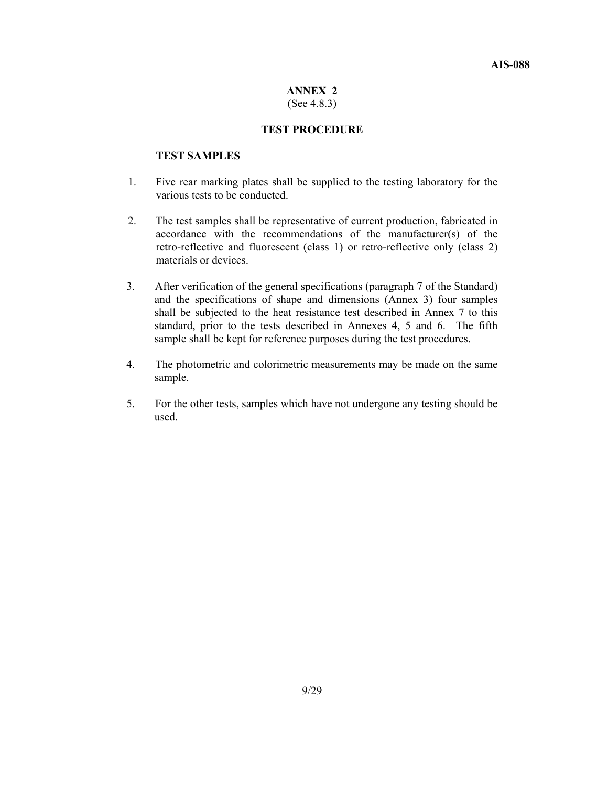#### **ANNEX 2**  (See 4.8.3)

#### **TEST PROCEDURE**

### **TEST SAMPLES**

- 1. Five rear marking plates shall be supplied to the testing laboratory for the various tests to be conducted.
- 2. The test samples shall be representative of current production, fabricated in accordance with the recommendations of the manufacturer(s) of the retro-reflective and fluorescent (class 1) or retro-reflective only (class 2) materials or devices.
- 3. After verification of the general specifications (paragraph 7 of the Standard) and the specifications of shape and dimensions (Annex 3) four samples shall be subjected to the heat resistance test described in Annex 7 to this standard, prior to the tests described in Annexes 4, 5 and 6. The fifth sample shall be kept for reference purposes during the test procedures.
- 4. The photometric and colorimetric measurements may be made on the same sample.
- 5. For the other tests, samples which have not undergone any testing should be used.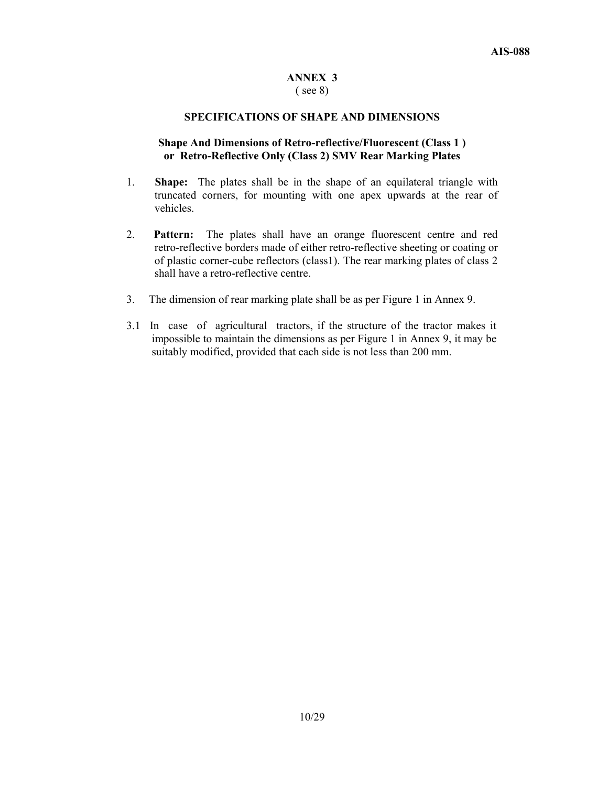### **ANNEX 3**

#### ( see 8)

#### **SPECIFICATIONS OF SHAPE AND DIMENSIONS**

### **Shape And Dimensions of Retro-reflective/Fluorescent (Class 1 ) or Retro-Reflective Only (Class 2) SMV Rear Marking Plates**

- 1. **Shape:** The plates shall be in the shape of an equilateral triangle with truncated corners, for mounting with one apex upwards at the rear of vehicles.
- 2. **Pattern:** The plates shall have an orange fluorescent centre and red retro-reflective borders made of either retro-reflective sheeting or coating or of plastic corner-cube reflectors (class1). The rear marking plates of class 2 shall have a retro-reflective centre.
- 3. The dimension of rear marking plate shall be as per Figure 1 in Annex 9.
- 3.1 In case of agricultural tractors, if the structure of the tractor makes it impossible to maintain the dimensions as per Figure 1 in Annex 9, it may be suitably modified, provided that each side is not less than 200 mm.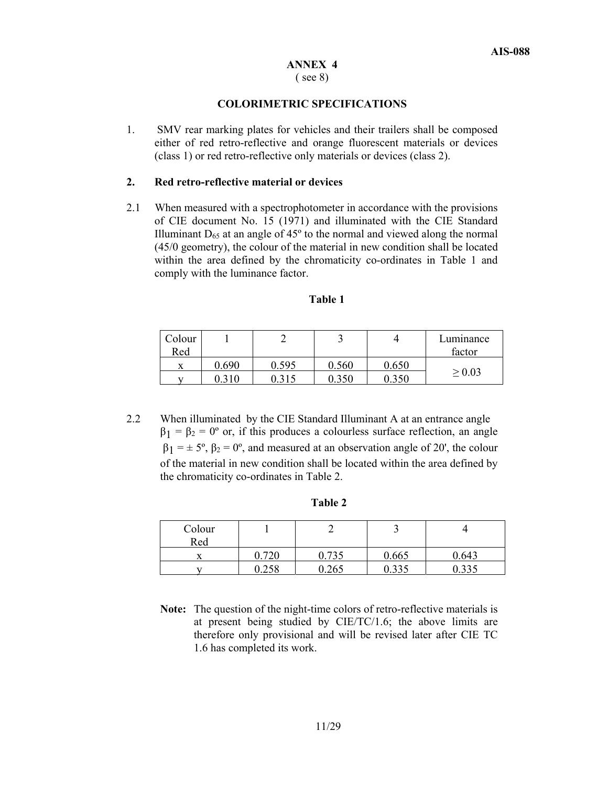### **ANNEX 4**

### ( see 8)

### **COLORIMETRIC SPECIFICATIONS**

1. SMV rear marking plates for vehicles and their trailers shall be composed either of red retro-reflective and orange fluorescent materials or devices (class 1) or red retro-reflective only materials or devices (class 2).

#### **2. Red retro-reflective material or devices**

2.1 When measured with a spectrophotometer in accordance with the provisions of CIE document No. 15 (1971) and illuminated with the CIE Standard Illuminant  $D_{65}$  at an angle of  $45^{\circ}$  to the normal and viewed along the normal (45/0 geometry), the colour of the material in new condition shall be located within the area defined by the chromaticity co-ordinates in Table 1 and comply with the luminance factor.

| Colour |       | ∼     |       |       | Luminance   |
|--------|-------|-------|-------|-------|-------------|
| Red    |       |       |       |       | factor      |
| v<br>л | 0.690 | 0.595 | 0.560 | 0.650 |             |
|        |       | 0.315 | 0.350 | 0.350 | $\geq 0.03$ |

### **Table 1**

2.2 When illuminated by the CIE Standard Illuminant A at an entrance angle  $\beta_1 = \beta_2 = 0$ <sup>o</sup> or, if this produces a colourless surface reflection, an angle  $\beta_1 = \pm 5^{\circ}$ ,  $\beta_2 = 0^{\circ}$ , and measured at an observation angle of 20', the colour of the material in new condition shall be located within the area defined by the chromaticity co-ordinates in Table 2.

| Н<br>п<br>I<br>. . |  |
|--------------------|--|
|--------------------|--|

| Colour<br>Red |       |       |              |                     |
|---------------|-------|-------|--------------|---------------------|
|               | 0.720 | .735  | 0.665        | 0.643               |
|               | 0.258 | 0.265 | 225<br>0.333 | <u>ລລະ</u><br>v.JJJ |

**Note:** The question of the night-time colors of retro-reflective materials is at present being studied by CIE/TC/1.6; the above limits are therefore only provisional and will be revised later after CIE TC 1.6 has completed its work.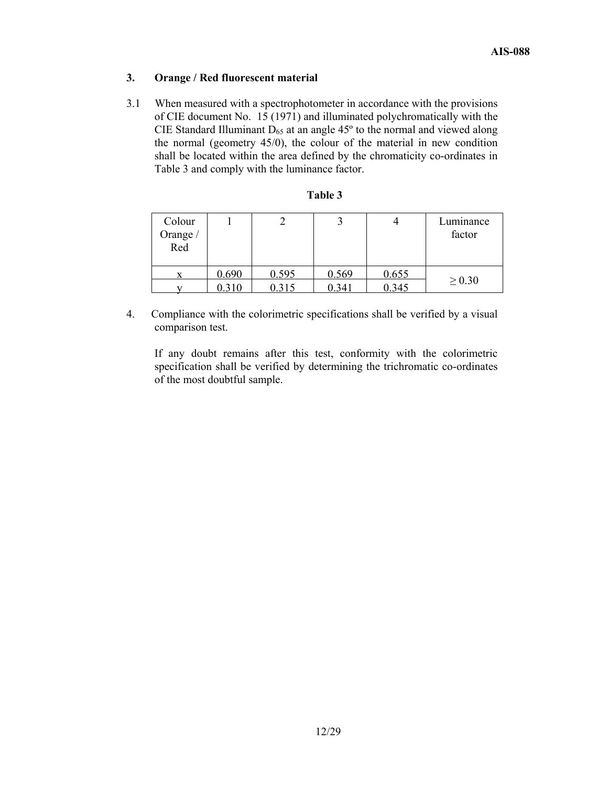### **3. Orange / Red fluorescent material**

3.1 When measured with a spectrophotometer in accordance with the provisions of CIE document No. 15 (1971) and illuminated polychromatically with the CIE Standard Illuminant  $D_{65}$  at an angle 45 $^{\circ}$  to the normal and viewed along the normal (geometry 45/0), the colour of the material in new condition shall be located within the area defined by the chromaticity co-ordinates in Table 3 and comply with the luminance factor.

| Colour<br>Orange /<br>Red |       |       |       |       | Luminance<br>factor |
|---------------------------|-------|-------|-------|-------|---------------------|
|                           | 0.690 | 0.595 | 0.569 | 0.655 |                     |
|                           | 0.310 | 0.315 | 0.341 | 0.345 | $\geq 0.30$         |

4. Compliance with the colorimetric specifications shall be verified by a visual comparison test.

 If any doubt remains after this test, conformity with the colorimetric specification shall be verified by determining the trichromatic co-ordinates of the most doubtful sample.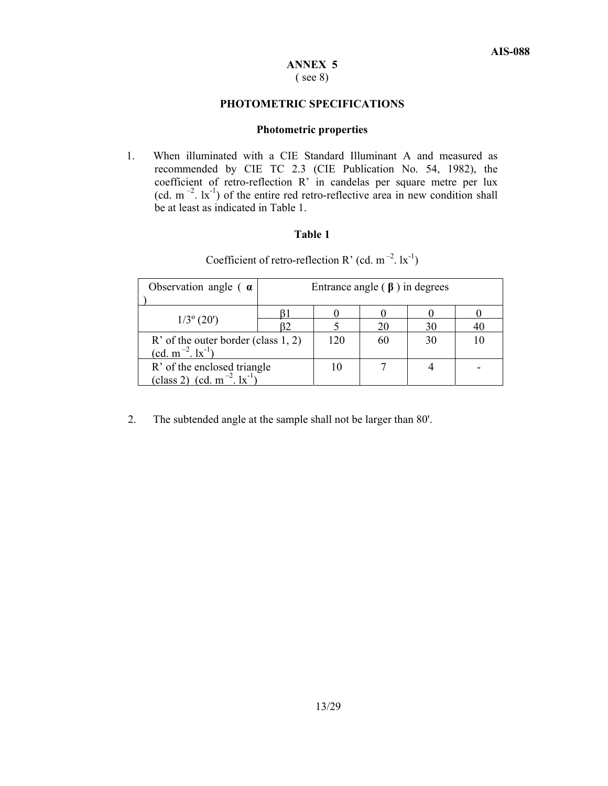#### **ANNEX 5**  ( see 8)

#### **PHOTOMETRIC SPECIFICATIONS**

#### **Photometric properties**

1. When illuminated with a CIE Standard Illuminant A and measured as recommended by CIE TC 2.3 (CIE Publication No. 54, 1982), the coefficient of retro-reflection R' in candelas per square metre per lux (cd.  $m^{-2}$ .  $lx^{-1}$ ) of the entire red retro-reflective area in new condition shall be at least as indicated in Table 1.

### **Table 1**

| Observation angle $\alpha$                                                 | Entrance angle $(\beta)$ in degrees |    |    |    |  |  |  |
|----------------------------------------------------------------------------|-------------------------------------|----|----|----|--|--|--|
|                                                                            |                                     |    |    |    |  |  |  |
| $1/3^{\circ}$ (20')                                                        |                                     |    | 20 | 30 |  |  |  |
| $R'$ of the outer border (class 1, 2)<br>$(cd. m^{-2} . 1x^{-1})$          | 120                                 | 60 | 30 |    |  |  |  |
| R' of the enclosed triangle<br>(class 2) (cd. m <sup>-2</sup> . $ x^{-1} $ |                                     |    |    |    |  |  |  |

Coefficient of retro-reflection R' (cd.  $m^{-2}$ .  $lx^{-1}$ )

2. The subtended angle at the sample shall not be larger than 80'.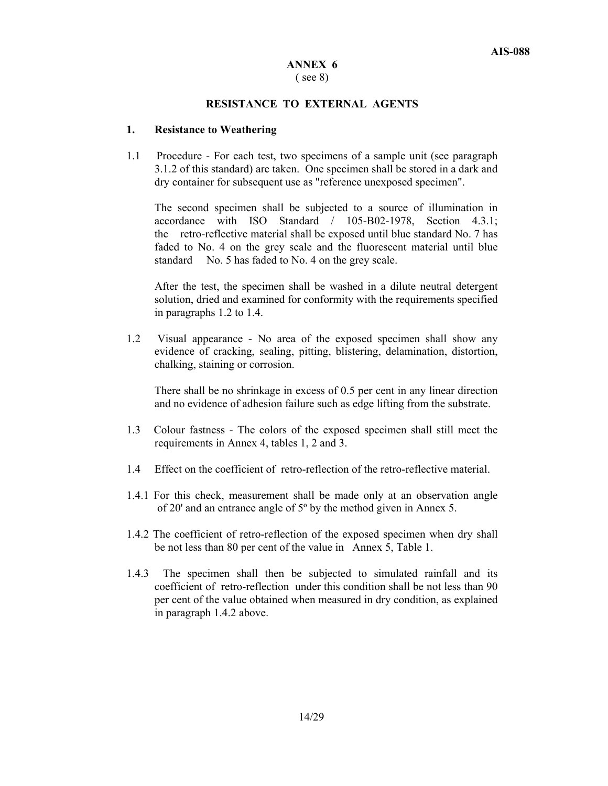#### **ANNEX 6**  ( see 8)

#### **RESISTANCE TO EXTERNAL AGENTS**

#### **1. Resistance to Weathering**

1.1 Procedure - For each test, two specimens of a sample unit (see paragraph 3.1.2 of this standard) are taken. One specimen shall be stored in a dark and dry container for subsequent use as "reference unexposed specimen".

 The second specimen shall be subjected to a source of illumination in accordance with ISO Standard / 105-B02-1978, Section 4.3.1; the retro-reflective material shall be exposed until blue standard No. 7 has faded to No. 4 on the grey scale and the fluorescent material until blue standard No. 5 has faded to No. 4 on the grey scale.

After the test, the specimen shall be washed in a dilute neutral detergent solution, dried and examined for conformity with the requirements specified in paragraphs 1.2 to 1.4.

1.2 Visual appearance - No area of the exposed specimen shall show any evidence of cracking, sealing, pitting, blistering, delamination, distortion, chalking, staining or corrosion.

 There shall be no shrinkage in excess of 0.5 per cent in any linear direction and no evidence of adhesion failure such as edge lifting from the substrate.

- 1.3 Colour fastness The colors of the exposed specimen shall still meet the requirements in Annex 4, tables 1, 2 and 3.
- 1.4 Effect on the coefficient of retro-reflection of the retro-reflective material.
- 1.4.1 For this check, measurement shall be made only at an observation angle of 20' and an entrance angle of 5º by the method given in Annex 5.
- 1.4.2 The coefficient of retro-reflection of the exposed specimen when dry shall be not less than 80 per cent of the value in Annex 5, Table 1.
- 1.4.3 The specimen shall then be subjected to simulated rainfall and its coefficient of retro-reflection under this condition shall be not less than 90 per cent of the value obtained when measured in dry condition, as explained in paragraph 1.4.2 above.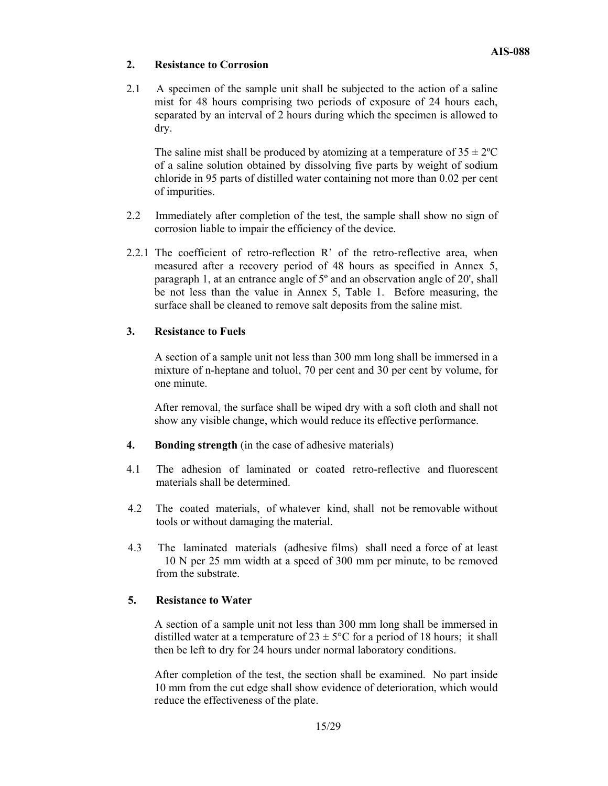### **2. Resistance to Corrosion**

2.1 A specimen of the sample unit shall be subjected to the action of a saline mist for 48 hours comprising two periods of exposure of 24 hours each, separated by an interval of 2 hours during which the specimen is allowed to dry.

The saline mist shall be produced by atomizing at a temperature of  $35 \pm 2$ °C of a saline solution obtained by dissolving five parts by weight of sodium chloride in 95 parts of distilled water containing not more than 0.02 per cent of impurities.

- 2.2 Immediately after completion of the test, the sample shall show no sign of corrosion liable to impair the efficiency of the device.
- 2.2.1 The coefficient of retro-reflection R' of the retro-reflective area, when measured after a recovery period of 48 hours as specified in Annex 5, paragraph 1, at an entrance angle of 5º and an observation angle of 20', shall be not less than the value in Annex 5, Table 1. Before measuring, the surface shall be cleaned to remove salt deposits from the saline mist.

### **3. Resistance to Fuels**

A section of a sample unit not less than 300 mm long shall be immersed in a mixture of n-heptane and toluol, 70 per cent and 30 per cent by volume, for one minute.

After removal, the surface shall be wiped dry with a soft cloth and shall not show any visible change, which would reduce its effective performance.

- **4. Bonding strength** (in the case of adhesive materials)
- 4.1 The adhesion of laminated or coated retro-reflective and fluorescent materials shall be determined.
- 4.2 The coated materials, of whatever kind, shall not be removable without tools or without damaging the material.
- 4.3 The laminated materials (adhesive films) shall need a force of at least 10 N per 25 mm width at a speed of 300 mm per minute, to be removed from the substrate.

### **5. Resistance to Water**

A section of a sample unit not less than 300 mm long shall be immersed in distilled water at a temperature of  $23 \pm 5^{\circ}$ C for a period of 18 hours; it shall then be left to dry for 24 hours under normal laboratory conditions.

After completion of the test, the section shall be examined. No part inside 10 mm from the cut edge shall show evidence of deterioration, which would reduce the effectiveness of the plate.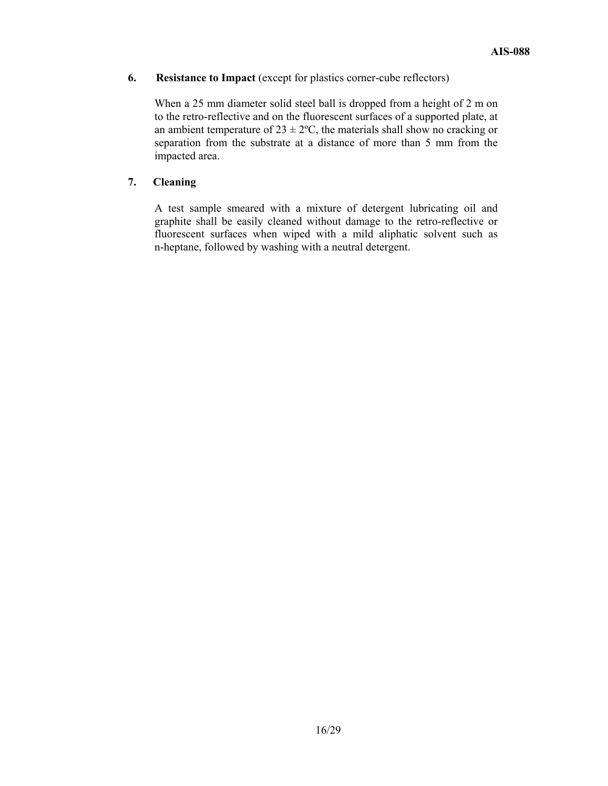### **6. Resistance to Impact** (except for plastics corner-cube reflectors)

When a 25 mm diameter solid steel ball is dropped from a height of 2 m on to the retro-reflective and on the fluorescent surfaces of a supported plate, at an ambient temperature of  $23 \pm 2$ °C, the materials shall show no cracking or separation from the substrate at a distance of more than 5 mm from the impacted area.

### **7. Cleaning**

A test sample smeared with a mixture of detergent lubricating oil and graphite shall be easily cleaned without damage to the retro-reflective or fluorescent surfaces when wiped with a mild aliphatic solvent such as n-heptane, followed by washing with a neutral detergent.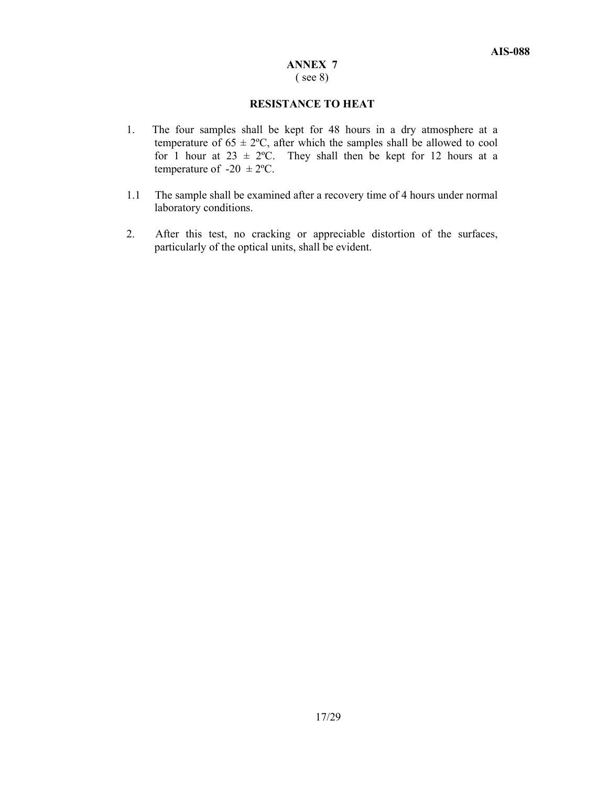#### **ANNEX 7**  ( see 8)

#### **RESISTANCE TO HEAT**

- 1. The four samples shall be kept for 48 hours in a dry atmosphere at a temperature of  $65 \pm 2^{\circ}\text{C}$ , after which the samples shall be allowed to cool for 1 hour at  $23 \pm 2$ °C. They shall then be kept for 12 hours at a temperature of  $-20 \pm 2$ °C.
- 1.1 The sample shall be examined after a recovery time of 4 hours under normal laboratory conditions.
- 2. After this test, no cracking or appreciable distortion of the surfaces, particularly of the optical units, shall be evident.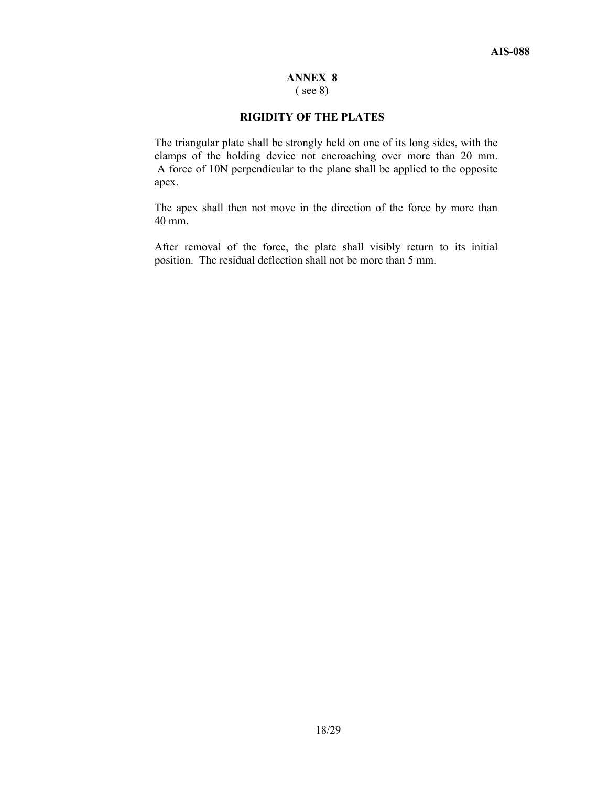### **ANNEX 8**

( see 8)

### **RIGIDITY OF THE PLATES**

The triangular plate shall be strongly held on one of its long sides, with the clamps of the holding device not encroaching over more than 20 mm. A force of 10N perpendicular to the plane shall be applied to the opposite apex.

The apex shall then not move in the direction of the force by more than 40 mm.

After removal of the force, the plate shall visibly return to its initial position. The residual deflection shall not be more than 5 mm.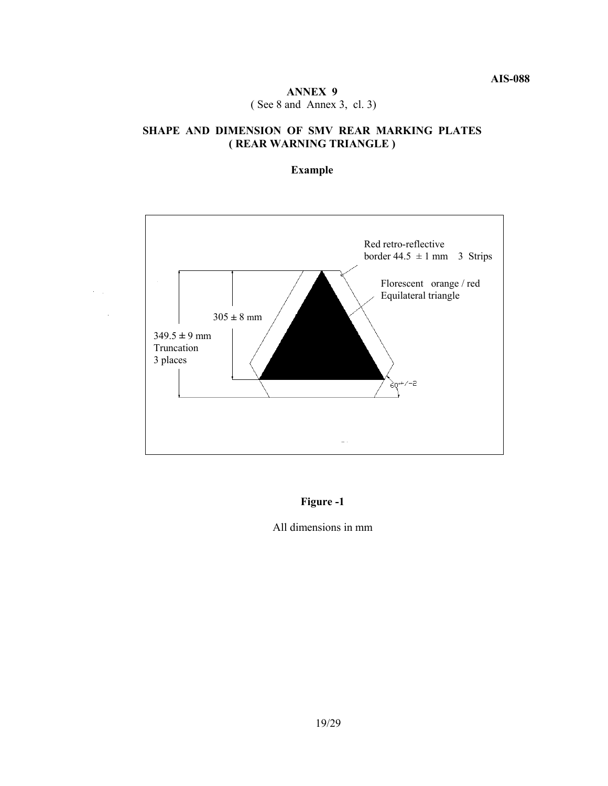### **ANNEX 9**  ( See 8 and Annex 3, cl. 3)

### **SHAPE AND DIMENSION OF SMV REAR MARKING PLATES ( REAR WARNING TRIANGLE )**

### **Example**



 $\alpha_{\rm{max}}$ 

### **Figure -1**

#### All dimensions in mm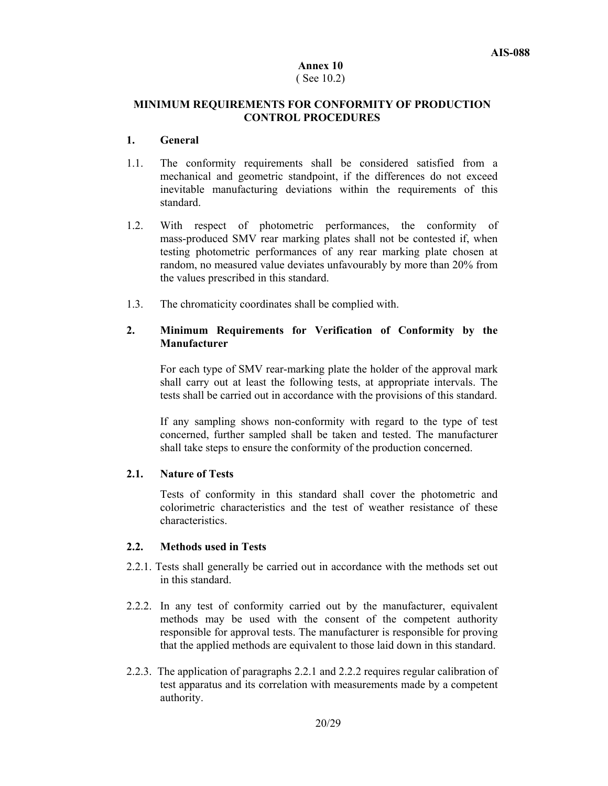# **Annex 10**

### ( See 10.2)

### **MINIMUM REQUIREMENTS FOR CONFORMITY OF PRODUCTION CONTROL PROCEDURES**

#### **1. General**

- 1.1.The conformity requirements shall be considered satisfied from a mechanical and geometric standpoint, if the differences do not exceed inevitable manufacturing deviations within the requirements of this standard.
- 1.2.With respect of photometric performances, the conformity of mass-produced SMV rear marking plates shall not be contested if, when testing photometric performances of any rear marking plate chosen at random, no measured value deviates unfavourably by more than 20% from the values prescribed in this standard.
- 1.3.The chromaticity coordinates shall be complied with.

### **2. Minimum Requirements for Verification of Conformity by the Manufacturer**

For each type of SMV rear-marking plate the holder of the approval mark shall carry out at least the following tests, at appropriate intervals. The tests shall be carried out in accordance with the provisions of this standard.

If any sampling shows non-conformity with regard to the type of test concerned, further sampled shall be taken and tested. The manufacturer shall take steps to ensure the conformity of the production concerned.

### **2.1. Nature of Tests**

Tests of conformity in this standard shall cover the photometric and colorimetric characteristics and the test of weather resistance of these characteristics.

### **2.2. Methods used in Tests**

- 2.2.1. Tests shall generally be carried out in accordance with the methods set out in this standard.
- 2.2.2. In any test of conformity carried out by the manufacturer, equivalent methods may be used with the consent of the competent authority responsible for approval tests. The manufacturer is responsible for proving that the applied methods are equivalent to those laid down in this standard.
- 2.2.3. The application of paragraphs 2.2.1 and 2.2.2 requires regular calibration of test apparatus and its correlation with measurements made by a competent authority.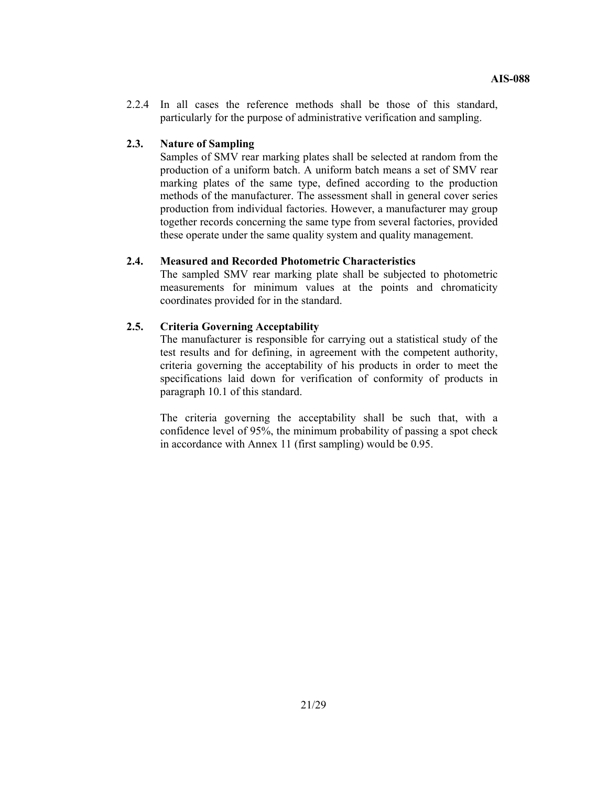2.2.4 In all cases the reference methods shall be those of this standard, particularly for the purpose of administrative verification and sampling.

#### **2.3. Nature of Sampling**

Samples of SMV rear marking plates shall be selected at random from the production of a uniform batch. A uniform batch means a set of SMV rear marking plates of the same type, defined according to the production methods of the manufacturer. The assessment shall in general cover series production from individual factories. However, a manufacturer may group together records concerning the same type from several factories, provided these operate under the same quality system and quality management.

#### **2.4. Measured and Recorded Photometric Characteristics**

The sampled SMV rear marking plate shall be subjected to photometric measurements for minimum values at the points and chromaticity coordinates provided for in the standard.

### **2.5. Criteria Governing Acceptability**

The manufacturer is responsible for carrying out a statistical study of the test results and for defining, in agreement with the competent authority, criteria governing the acceptability of his products in order to meet the specifications laid down for verification of conformity of products in paragraph 10.1 of this standard.

The criteria governing the acceptability shall be such that, with a confidence level of 95%, the minimum probability of passing a spot check in accordance with Annex 11 (first sampling) would be 0.95.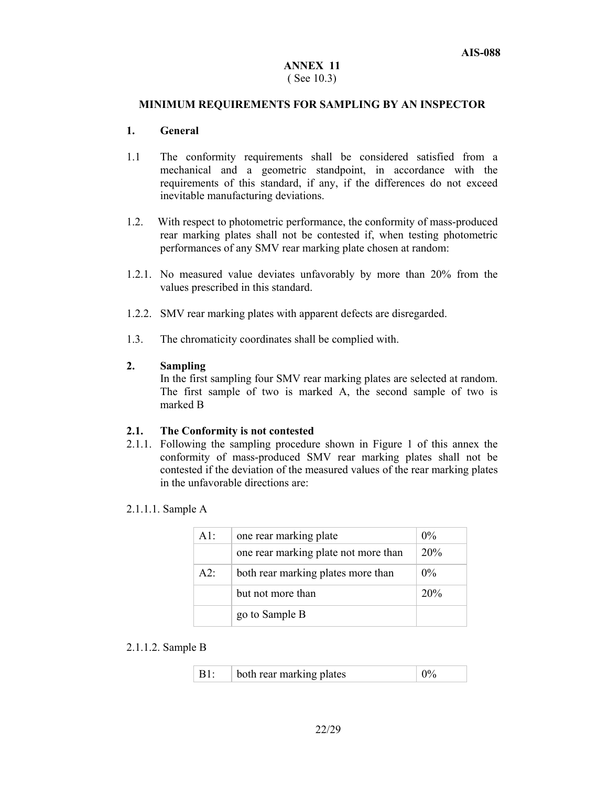#### **ANNEX 11**  ( See 10.3)

#### **MINIMUM REQUIREMENTS FOR SAMPLING BY AN INSPECTOR**

#### **1. General**

- 1.1 The conformity requirements shall be considered satisfied from a mechanical and a geometric standpoint, in accordance with the requirements of this standard, if any, if the differences do not exceed inevitable manufacturing deviations.
- 1.2.With respect to photometric performance, the conformity of mass-produced rear marking plates shall not be contested if, when testing photometric performances of any SMV rear marking plate chosen at random:
- 1.2.1. No measured value deviates unfavorably by more than 20% from the values prescribed in this standard.
- 1.2.2. SMV rear marking plates with apparent defects are disregarded.
- 1.3.The chromaticity coordinates shall be complied with.

### **2. Sampling**

In the first sampling four SMV rear marking plates are selected at random. The first sample of two is marked A, the second sample of two is marked B

#### **2.1. The Conformity is not contested**

2.1.1. Following the sampling procedure shown in Figure 1 of this annex the conformity of mass-produced SMV rear marking plates shall not be contested if the deviation of the measured values of the rear marking plates in the unfavorable directions are:

#### 2.1.1.1. Sample A

| $A1$ : | one rear marking plate               | $0\%$ |
|--------|--------------------------------------|-------|
|        | one rear marking plate not more than | 20%   |
| $A2^T$ | both rear marking plates more than   | $0\%$ |
|        | but not more than                    | 20%   |
|        | go to Sample B                       |       |

#### 2.1.1.2. Sample B

| both rear marking plates |  |
|--------------------------|--|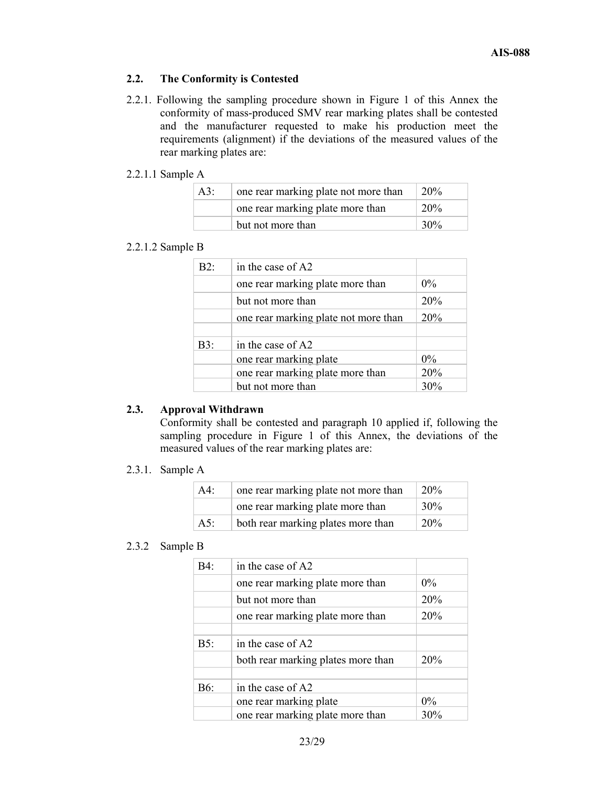### **2.2. The Conformity is Contested**

2.2.1. Following the sampling procedure shown in Figure 1 of this Annex the conformity of mass-produced SMV rear marking plates shall be contested and the manufacturer requested to make his production meet the requirements (alignment) if the deviations of the measured values of the rear marking plates are:

### 2.2.1.1 Sample A

| A3: | one rear marking plate not more than | <b>20%</b> |
|-----|--------------------------------------|------------|
|     | one rear marking plate more than     | <b>20%</b> |
|     | but not more than                    | 30%        |

### 2.2.1.2 Sample B

| B2: | in the case of A2                    |       |
|-----|--------------------------------------|-------|
|     | one rear marking plate more than     | $0\%$ |
|     | but not more than                    | 20%   |
|     | one rear marking plate not more than | 20%   |
|     |                                      |       |
| B3: | in the case of A2                    |       |
|     | one rear marking plate               | $0\%$ |
|     | one rear marking plate more than     | 20%   |
|     | but not more than                    | 30%   |
|     |                                      |       |

### **2.3. Approval Withdrawn**

Conformity shall be contested and paragraph 10 applied if, following the sampling procedure in Figure 1 of this Annex, the deviations of the measured values of the rear marking plates are:

### 2.3.1. Sample A

| A4: | one rear marking plate not more than | 20% |
|-----|--------------------------------------|-----|
|     | one rear marking plate more than     | 30% |
| A5: | both rear marking plates more than   | 20% |

# 2.3.2 Sample B

| B4:    | in the case of A2                  |       |
|--------|------------------------------------|-------|
|        | one rear marking plate more than   | $0\%$ |
|        | but not more than                  | 20%   |
|        | one rear marking plate more than   | 20%   |
|        |                                    |       |
| $B5$ : | in the case of A2                  |       |
|        | both rear marking plates more than | 20%   |
|        |                                    |       |
| B6:    | in the case of A2                  |       |
|        | one rear marking plate             | $0\%$ |
|        | one rear marking plate more than   | 30%   |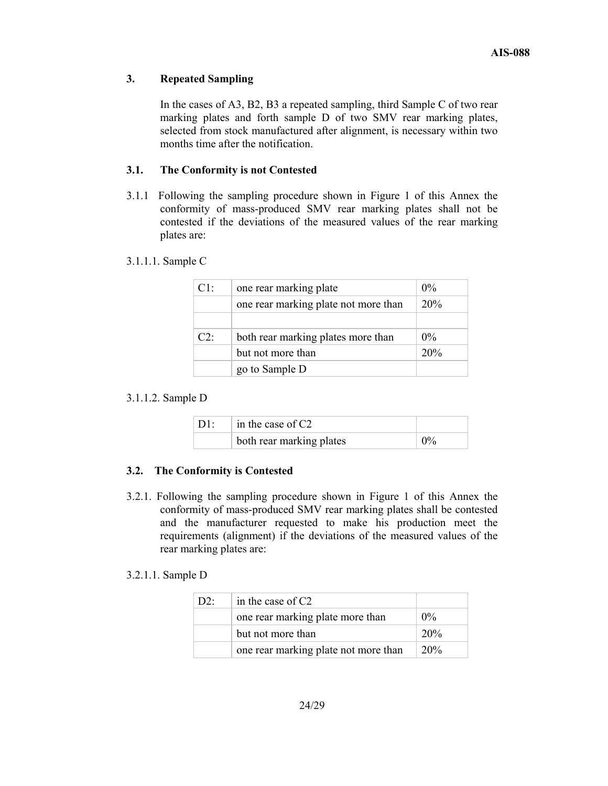### **3. Repeated Sampling**

In the cases of A3, B2, B3 a repeated sampling, third Sample C of two rear marking plates and forth sample D of two SMV rear marking plates, selected from stock manufactured after alignment, is necessary within two months time after the notification.

### **3.1. The Conformity is not Contested**

3.1.1 Following the sampling procedure shown in Figure 1 of this Annex the conformity of mass-produced SMV rear marking plates shall not be contested if the deviations of the measured values of the rear marking plates are:

### 3.1.1.1. Sample C

| Cl: | one rear marking plate               | $0\%$ |
|-----|--------------------------------------|-------|
|     | one rear marking plate not more than | 20%   |
|     |                                      |       |
| C2  | both rear marking plates more than   | $0\%$ |
|     | but not more than                    | 20%   |
|     | go to Sample D                       |       |

### 3.1.1.2. Sample D

| $\perp$ D1: | $\vert$ in the case of C2 |       |
|-------------|---------------------------|-------|
|             | both rear marking plates  | $0\%$ |

### **3.2. The Conformity is Contested**

3.2.1. Following the sampling procedure shown in Figure 1 of this Annex the conformity of mass-produced SMV rear marking plates shall be contested and the manufacturer requested to make his production meet the requirements (alignment) if the deviations of the measured values of the rear marking plates are:

### 3.2.1.1. Sample D

| D2 | in the case of $C2$                  |                 |
|----|--------------------------------------|-----------------|
|    | one rear marking plate more than     | $0\%$           |
|    | but not more than                    | 20 <sub>%</sub> |
|    | one rear marking plate not more than | 20%             |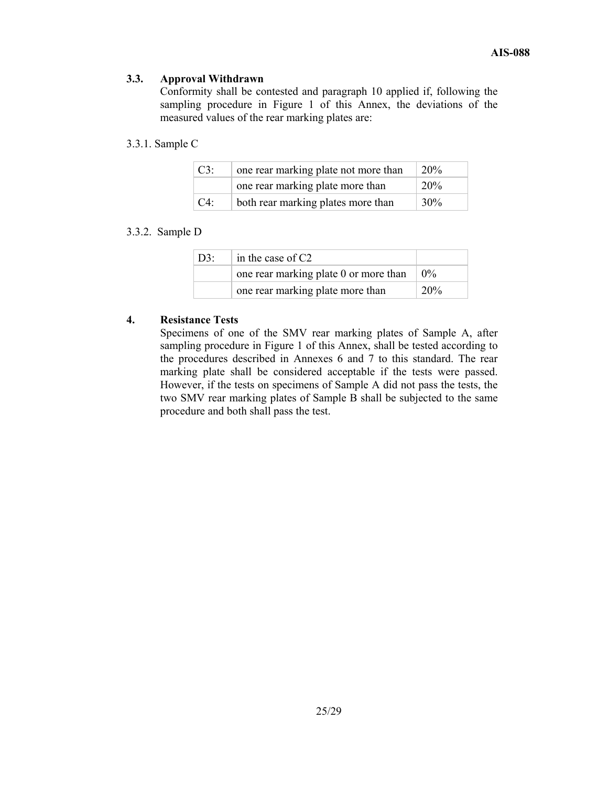### **3.3. Approval Withdrawn**

Conformity shall be contested and paragraph 10 applied if, following the sampling procedure in Figure 1 of this Annex, the deviations of the measured values of the rear marking plates are:

### 3.3.1. Sample C

| $C3$ : | one rear marking plate not more than | 20%             |
|--------|--------------------------------------|-----------------|
|        | one rear marking plate more than     | 20 <sup>%</sup> |
| $C4$ : | both rear marking plates more than   | 30%             |

#### 3.3.2. Sample D

| $D3$ : | in the case of $C2$                                       |                 |
|--------|-----------------------------------------------------------|-----------------|
|        | one rear marking plate 0 or more than $\vert 0\% \rangle$ |                 |
|        | one rear marking plate more than                          | 20 <sup>%</sup> |

#### **4. Resistance Tests**

Specimens of one of the SMV rear marking plates of Sample A, after sampling procedure in Figure 1 of this Annex, shall be tested according to the procedures described in Annexes 6 and 7 to this standard. The rear marking plate shall be considered acceptable if the tests were passed. However, if the tests on specimens of Sample A did not pass the tests, the two SMV rear marking plates of Sample B shall be subjected to the same procedure and both shall pass the test.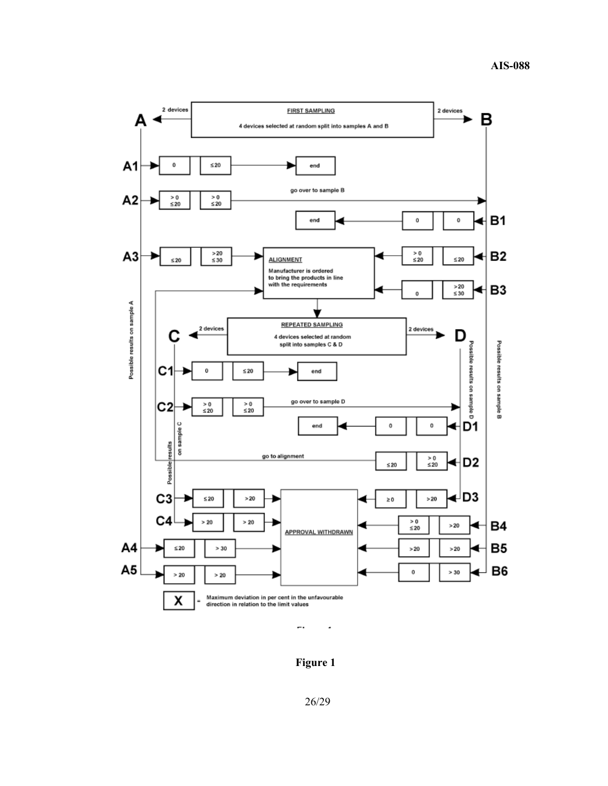

**Figure 1**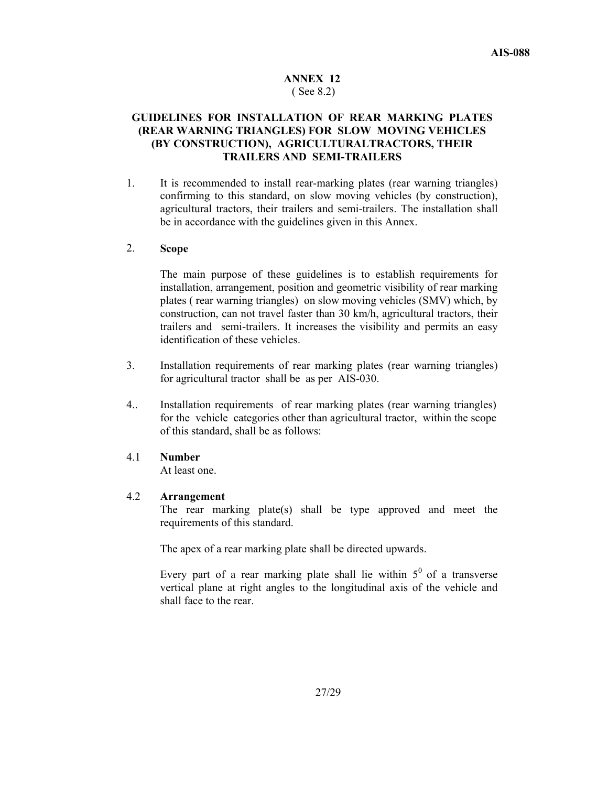#### **ANNEX 12**  ( See 8.2)

### **GUIDELINES FOR INSTALLATION OF REAR MARKING PLATES (REAR WARNING TRIANGLES) FOR SLOW MOVING VEHICLES (BY CONSTRUCTION), AGRICULTURALTRACTORS, THEIR TRAILERS AND SEMI-TRAILERS**

1. It is recommended to install rear-marking plates (rear warning triangles) confirming to this standard, on slow moving vehicles (by construction), agricultural tractors, their trailers and semi-trailers. The installation shall be in accordance with the guidelines given in this Annex.

### 2. **Scope**

 The main purpose of these guidelines is to establish requirements for installation, arrangement, position and geometric visibility of rear marking plates ( rear warning triangles) on slow moving vehicles (SMV) which, by construction, can not travel faster than 30 km/h, agricultural tractors, their trailers and semi-trailers. It increases the visibility and permits an easy identification of these vehicles.

- 3. Installation requirements of rear marking plates (rear warning triangles) for agricultural tractor shall be as per AIS-030.
- 4.. Installation requirements of rear marking plates (rear warning triangles) for the vehicle categories other than agricultural tractor, within the scope of this standard, shall be as follows:

#### 4.1 **Number**

At least one.

#### 4.2 **Arrangement**

The rear marking plate(s) shall be type approved and meet the requirements of this standard.

The apex of a rear marking plate shall be directed upwards.

Every part of a rear marking plate shall lie within  $5^{\circ}$  of a transverse vertical plane at right angles to the longitudinal axis of the vehicle and shall face to the rear.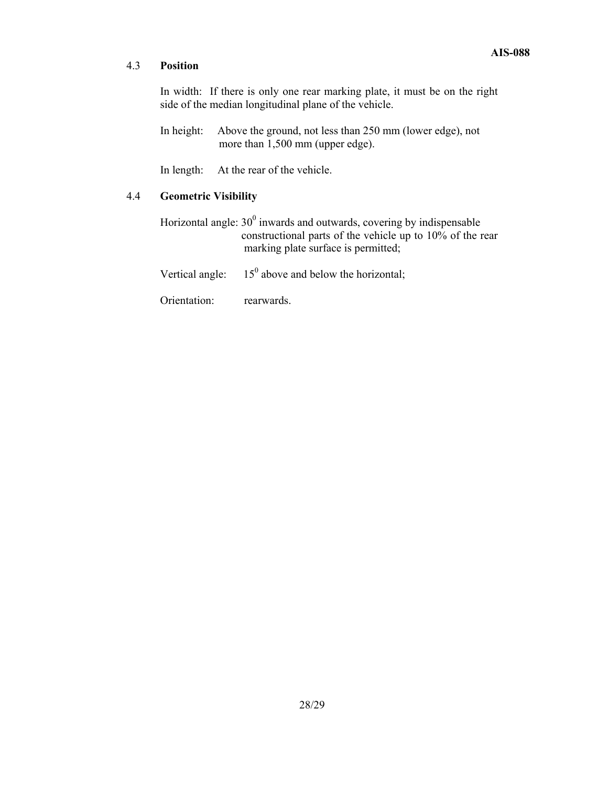### 4.3 **Position**

In width: If there is only one rear marking plate, it must be on the right side of the median longitudinal plane of the vehicle.

In height: Above the ground, not less than 250 mm (lower edge), not more than 1,500 mm (upper edge).

In length: At the rear of the vehicle.

### 4.4 **Geometric Visibility**

Horizontal angle:  $30^0$  inwards and outwards, covering by indispensable constructional parts of the vehicle up to 10% of the rear marking plate surface is permitted;

Vertical angle:  $15^{\circ}$  above and below the horizontal;

Orientation: rearwards.